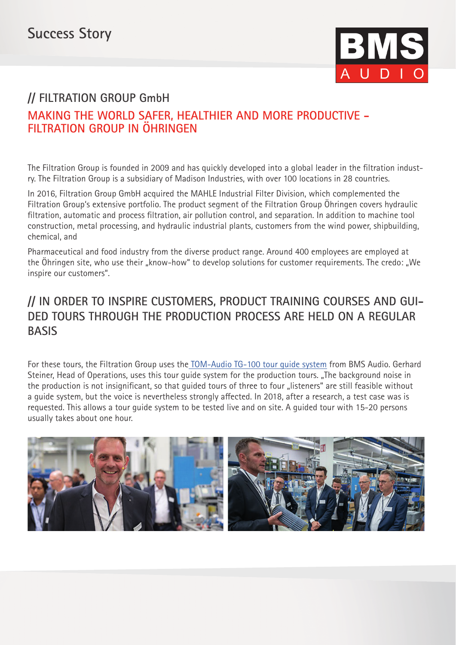

## **// FILTRATION GROUP GmbH MAKING THE WORLD SAFER, HEALTHIER AND MORE PRODUCTIVE - FILTRATION GROUP IN ÖHRINGEN**

The Filtration Group is founded in 2009 and has quickly developed into a global leader in the filtration industry. The Filtration Group is a subsidiary of Madison Industries, with over 100 locations in 28 countries.

In 2016, Filtration Group GmbH acquired the MAHLE Industrial Filter Division, which complemented the Filtration Group's extensive portfolio. The product segment of the Filtration Group Öhringen covers hydraulic filtration, automatic and process filtration, air pollution control, and separation. In addition to machine tool construction, metal processing, and hydraulic industrial plants, customers from the wind power, shipbuilding, chemical, and

Pharmaceutical and food industry from the diverse product range. Around 400 employees are employed at the Öhringen site, who use their "know-how" to develop solutions for customer requirements. The credo: "We inspire our customers".

## **// IN ORDER TO INSPIRE CUSTOMERS, PRODUCT TRAINING COURSES AND GUI-DED TOURS THROUGH THE PRODUCTION PROCESS ARE HELD ON A REGULAR BASIS**

For these tours, the Filtration Group uses th[e TOM-Audio TG-100 tour guide system](https://www.bmsaudio.com/products/tour-guide-systems/tom-audio-tg-101-with-dialogue-functionality.html) from BMS Audio. Gerhard Steiner, Head of Operations, uses this tour quide system for the production tours. "The background noise in the production is not insignificant, so that quided tours of three to four "listeners" are still feasible without a guide system, but the voice is nevertheless strongly affected. In 2018, after a research, a test case was is requested. This allows a tour guide system to be tested live and on site. A guided tour with 15-20 persons usually takes about one hour.